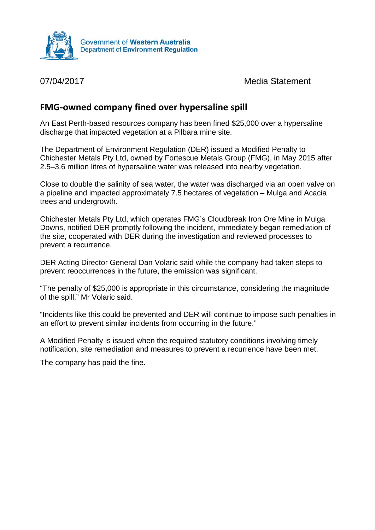

07/04/2017 Media Statement

## **FMG-owned company fined over hypersaline spill**

An East Perth-based resources company has been fined \$25,000 over a hypersaline discharge that impacted vegetation at a Pilbara mine site.

The Department of Environment Regulation (DER) issued a Modified Penalty to Chichester Metals Pty Ltd, owned by Fortescue Metals Group (FMG), in May 2015 after 2.5–3.6 million litres of hypersaline water was released into nearby vegetation.

Close to double the salinity of sea water, the water was discharged via an open valve on a pipeline and impacted approximately 7.5 hectares of vegetation – Mulga and Acacia trees and undergrowth.

Chichester Metals Pty Ltd, which operates FMG's Cloudbreak Iron Ore Mine in Mulga Downs, notified DER promptly following the incident, immediately began remediation of the site, cooperated with DER during the investigation and reviewed processes to prevent a recurrence.

DER Acting Director General Dan Volaric said while the company had taken steps to prevent reoccurrences in the future, the emission was significant.

"The penalty of \$25,000 is appropriate in this circumstance, considering the magnitude of the spill," Mr Volaric said.

"Incidents like this could be prevented and DER will continue to impose such penalties in an effort to prevent similar incidents from occurring in the future."

A Modified Penalty is issued when the required statutory conditions involving timely notification, site remediation and measures to prevent a recurrence have been met.

The company has paid the fine.